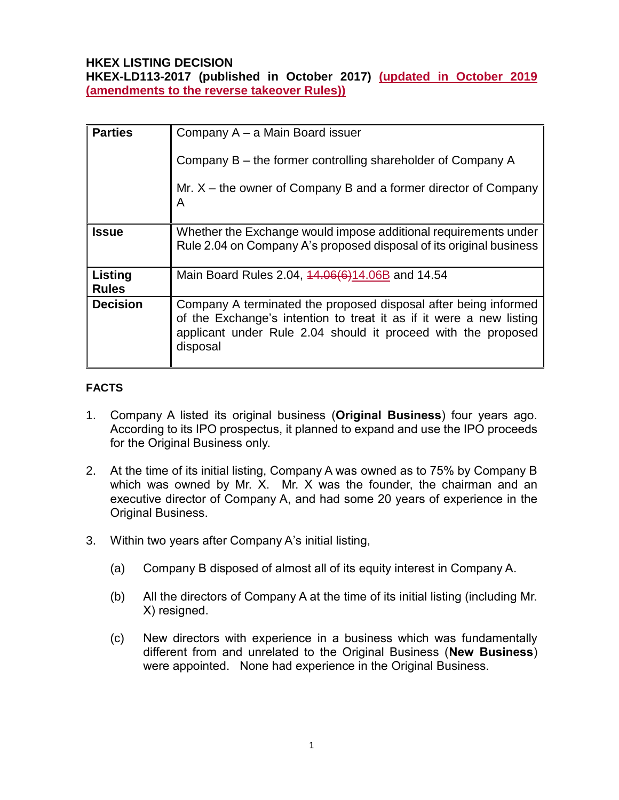### **HKEX LISTING DECISION**

**HKEX-LD113-2017 (published in October 2017) (updated in October 2019 (amendments to the reverse takeover Rules))**

| <b>Parties</b>          | Company A – a Main Board issuer                                                                                                                                                                                     |
|-------------------------|---------------------------------------------------------------------------------------------------------------------------------------------------------------------------------------------------------------------|
|                         | Company B – the former controlling shareholder of Company A                                                                                                                                                         |
|                         | Mr. $X$ – the owner of Company B and a former director of Company<br>A                                                                                                                                              |
| <b>Issue</b>            | Whether the Exchange would impose additional requirements under<br>Rule 2.04 on Company A's proposed disposal of its original business                                                                              |
| Listing<br><b>Rules</b> | Main Board Rules 2.04, 44.06(6)14.06B and 14.54                                                                                                                                                                     |
| <b>Decision</b>         | Company A terminated the proposed disposal after being informed<br>of the Exchange's intention to treat it as if it were a new listing<br>applicant under Rule 2.04 should it proceed with the proposed<br>disposal |

#### **FACTS**

- 1. Company A listed its original business (**Original Business**) four years ago. According to its IPO prospectus, it planned to expand and use the IPO proceeds for the Original Business only.
- 2. At the time of its initial listing, Company A was owned as to 75% by Company B which was owned by Mr. X. Mr. X was the founder, the chairman and an executive director of Company A, and had some 20 years of experience in the Original Business.
- 3. Within two years after Company A's initial listing,
	- (a) Company B disposed of almost all of its equity interest in Company A.
	- (b) All the directors of Company A at the time of its initial listing (including Mr. X) resigned.
	- (c) New directors with experience in a business which was fundamentally different from and unrelated to the Original Business (**New Business**) were appointed. None had experience in the Original Business.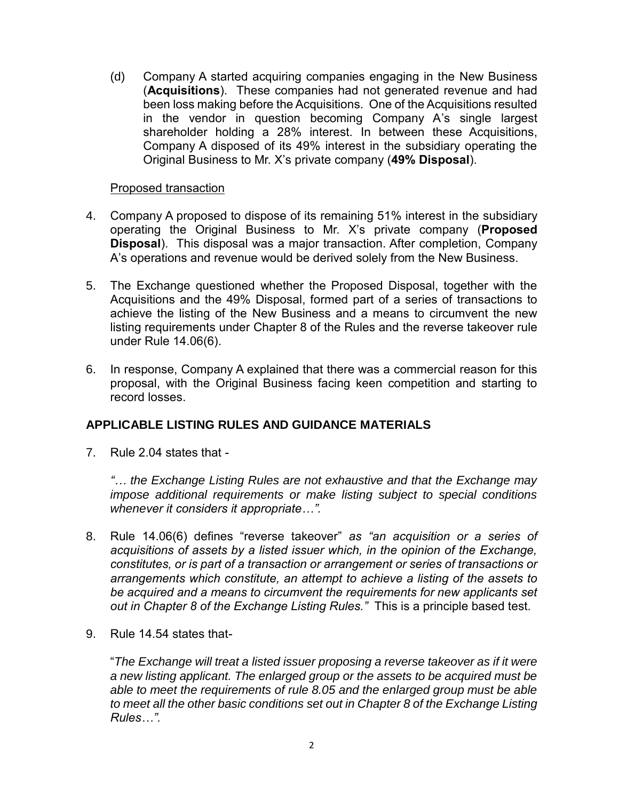(d) Company A started acquiring companies engaging in the New Business (**Acquisitions**). These companies had not generated revenue and had been loss making before the Acquisitions. One of the Acquisitions resulted in the vendor in question becoming Company A's single largest shareholder holding a 28% interest. In between these Acquisitions, Company A disposed of its 49% interest in the subsidiary operating the Original Business to Mr. X's private company (**49% Disposal**).

#### Proposed transaction

- 4. Company A proposed to dispose of its remaining 51% interest in the subsidiary operating the Original Business to Mr. X's private company (**Proposed Disposal**). This disposal was a major transaction. After completion, Company A's operations and revenue would be derived solely from the New Business.
- 5. The Exchange questioned whether the Proposed Disposal, together with the Acquisitions and the 49% Disposal, formed part of a series of transactions to achieve the listing of the New Business and a means to circumvent the new listing requirements under Chapter 8 of the Rules and the reverse takeover rule under Rule 14.06(6).
- 6. In response, Company A explained that there was a commercial reason for this proposal, with the Original Business facing keen competition and starting to record losses.

#### **APPLICABLE LISTING RULES AND GUIDANCE MATERIALS**

7. Rule 2.04 states that -

*"… the Exchange Listing Rules are not exhaustive and that the Exchange may impose additional requirements or make listing subject to special conditions whenever it considers it appropriate…".*

- 8. Rule 14.06(6) defines "reverse takeover" *as "an acquisition or a series of acquisitions of assets by a listed issuer which, in the opinion of the Exchange, constitutes, or is part of a transaction or arrangement or series of transactions or arrangements which constitute, an attempt to achieve a listing of the assets to be acquired and a means to circumvent the requirements for new applicants set out in Chapter 8 of the Exchange Listing Rules."* This is a principle based test.
- 9. Rule 14.54 states that-

"*The Exchange will treat a listed issuer proposing a reverse takeover as if it were a new listing applicant. The enlarged group or the assets to be acquired must be able to meet the requirements of rule 8.05 and the enlarged group must be able to meet all the other basic conditions set out in Chapter 8 of the Exchange Listing Rules…".*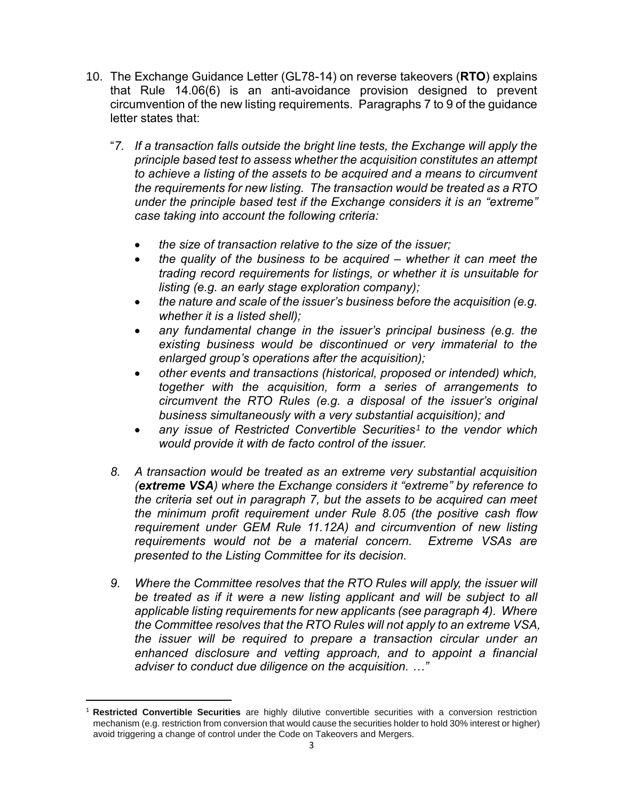- 10. The Exchange Guidance Letter (GL78-14) on reverse takeovers (**RTO**) explains that Rule 14.06(6) is an anti-avoidance provision designed to prevent circumvention of the new listing requirements. Paragraphs 7 to 9 of the guidance letter states that:
	- "*7. If a transaction falls outside the bright line tests, the Exchange will apply the principle based test to assess whether the acquisition constitutes an attempt to achieve a listing of the assets to be acquired and a means to circumvent the requirements for new listing. The transaction would be treated as a RTO under the principle based test if the Exchange considers it is an "extreme" case taking into account the following criteria:*
		- *the size of transaction relative to the size of the issuer;*
		- *the quality of the business to be acquired – whether it can meet the trading record requirements for listings, or whether it is unsuitable for listing (e.g. an early stage exploration company);*
		- *the nature and scale of the issuer's business before the acquisition (e.g. whether it is a listed shell);*
		- *any fundamental change in the issuer's principal business (e.g. the existing business would be discontinued or very immaterial to the enlarged group's operations after the acquisition);*
		- *other events and transactions (historical, proposed or intended) which, together with the acquisition, form a series of arrangements to circumvent the RTO Rules (e.g. a disposal of the issuer's original business simultaneously with a very substantial acquisition); and*
		- **•** any issue of Restricted Convertible Securities<sup>1</sup> to the vendor which *would provide it with de facto control of the issuer.*
	- *8. A transaction would be treated as an extreme very substantial acquisition (extreme VSA) where the Exchange considers it "extreme" by reference to the criteria set out in paragraph 7, but the assets to be acquired can meet the minimum profit requirement under Rule 8.05 (the positive cash flow requirement under GEM Rule 11.12A) and circumvention of new listing requirements would not be a material concern. Extreme VSAs are presented to the Listing Committee for its decision.*
	- *9. Where the Committee resolves that the RTO Rules will apply, the issuer will*  be treated as if it were a new listing applicant and will be subject to all *applicable listing requirements for new applicants (see paragraph 4). Where the Committee resolves that the RTO Rules will not apply to an extreme VSA, the issuer will be required to prepare a transaction circular under an enhanced disclosure and vetting approach, and to appoint a financial adviser to conduct due diligence on the acquisition. …"*

 $\overline{a}$ 

<sup>1</sup> **Restricted Convertible Securities** are highly dilutive convertible securities with a conversion restriction mechanism (e.g. restriction from conversion that would cause the securities holder to hold 30% interest or higher) avoid triggering a change of control under the Code on Takeovers and Mergers.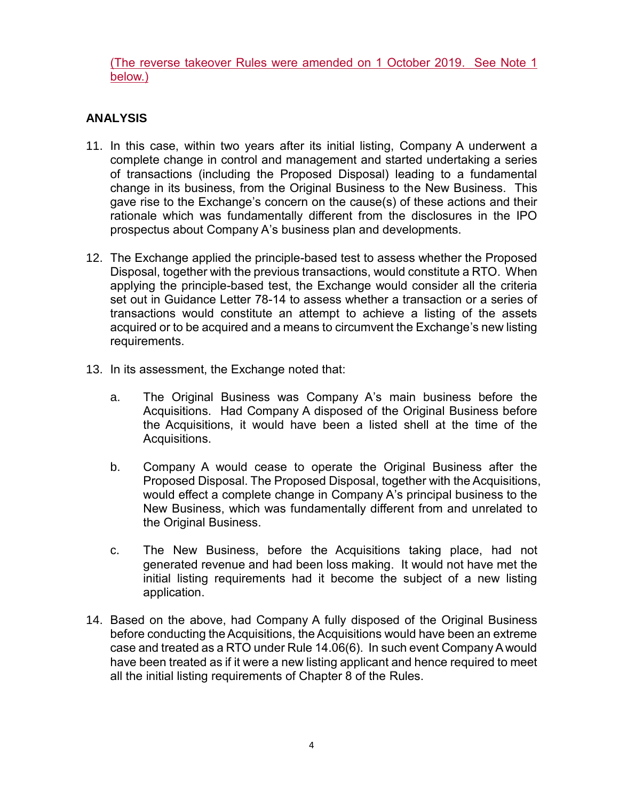(The reverse takeover Rules were amended on 1 October 2019. See Note 1 below.)

# **ANALYSIS**

- 11. In this case, within two years after its initial listing, Company A underwent a complete change in control and management and started undertaking a series of transactions (including the Proposed Disposal) leading to a fundamental change in its business, from the Original Business to the New Business. This gave rise to the Exchange's concern on the cause(s) of these actions and their rationale which was fundamentally different from the disclosures in the IPO prospectus about Company A's business plan and developments.
- 12. The Exchange applied the principle-based test to assess whether the Proposed Disposal, together with the previous transactions, would constitute a RTO. When applying the principle-based test, the Exchange would consider all the criteria set out in Guidance Letter 78-14 to assess whether a transaction or a series of transactions would constitute an attempt to achieve a listing of the assets acquired or to be acquired and a means to circumvent the Exchange's new listing requirements.
- 13. In its assessment, the Exchange noted that:
	- a. The Original Business was Company A's main business before the Acquisitions. Had Company A disposed of the Original Business before the Acquisitions, it would have been a listed shell at the time of the Acquisitions.
	- b. Company A would cease to operate the Original Business after the Proposed Disposal. The Proposed Disposal, together with the Acquisitions, would effect a complete change in Company A's principal business to the New Business, which was fundamentally different from and unrelated to the Original Business.
	- c. The New Business, before the Acquisitions taking place, had not generated revenue and had been loss making. It would not have met the initial listing requirements had it become the subject of a new listing application.
- 14. Based on the above, had Company A fully disposed of the Original Business before conducting the Acquisitions, the Acquisitions would have been an extreme case and treated as a RTO under Rule 14.06(6). In such event Company A would have been treated as if it were a new listing applicant and hence required to meet all the initial listing requirements of Chapter 8 of the Rules.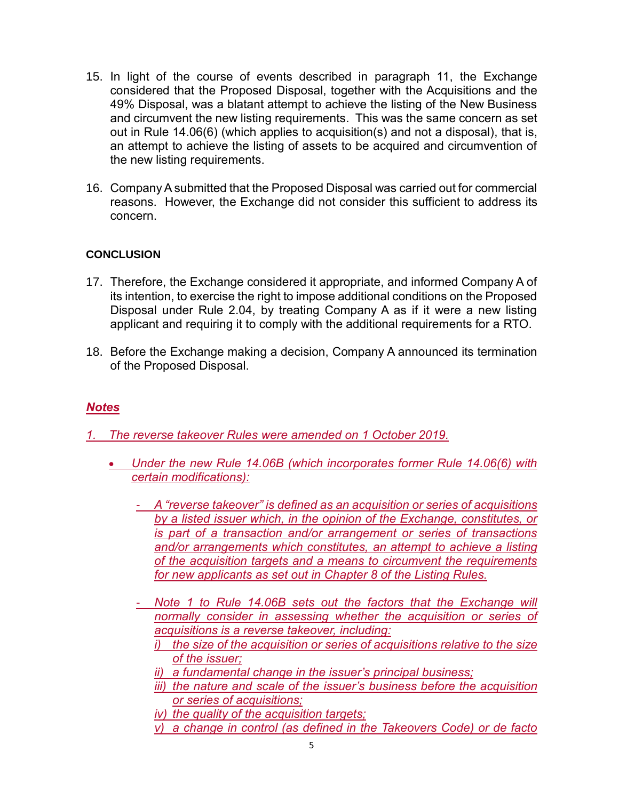- 15. In light of the course of events described in paragraph 11, the Exchange considered that the Proposed Disposal, together with the Acquisitions and the 49% Disposal, was a blatant attempt to achieve the listing of the New Business and circumvent the new listing requirements. This was the same concern as set out in Rule 14.06(6) (which applies to acquisition(s) and not a disposal), that is, an attempt to achieve the listing of assets to be acquired and circumvention of the new listing requirements.
- 16. Company A submitted that the Proposed Disposal was carried out for commercial reasons. However, the Exchange did not consider this sufficient to address its concern.

### **CONCLUSION**

- 17. Therefore, the Exchange considered it appropriate, and informed Company A of its intention, to exercise the right to impose additional conditions on the Proposed Disposal under Rule 2.04, by treating Company A as if it were a new listing applicant and requiring it to comply with the additional requirements for a RTO.
- 18. Before the Exchange making a decision, Company A announced its termination of the Proposed Disposal.

## *Notes*

*1. The reverse takeover Rules were amended on 1 October 2019.* 

- *Under the new Rule 14.06B (which incorporates former Rule 14.06(6) with certain modifications):*
	- *A "reverse takeover" is defined as an acquisition or series of acquisitions by a listed issuer which, in the opinion of the Exchange, constitutes, or is part of a transaction and/or arrangement or series of transactions and/or arrangements which constitutes, an attempt to achieve a listing of the acquisition targets and a means to circumvent the requirements for new applicants as set out in Chapter 8 of the Listing Rules.*
	- *Note 1 to Rule 14.06B sets out the factors that the Exchange will normally consider in assessing whether the acquisition or series of acquisitions is a reverse takeover, including:* 
		- *i) the size of the acquisition or series of acquisitions relative to the size of the issuer;*
		- *ii) a fundamental change in the issuer's principal business;*
		- *iii) the nature and scale of the issuer's business before the acquisition or series of acquisitions;*
		- *iv) the quality of the acquisition targets;*
		- *v) a change in control (as defined in the Takeovers Code) or de facto*